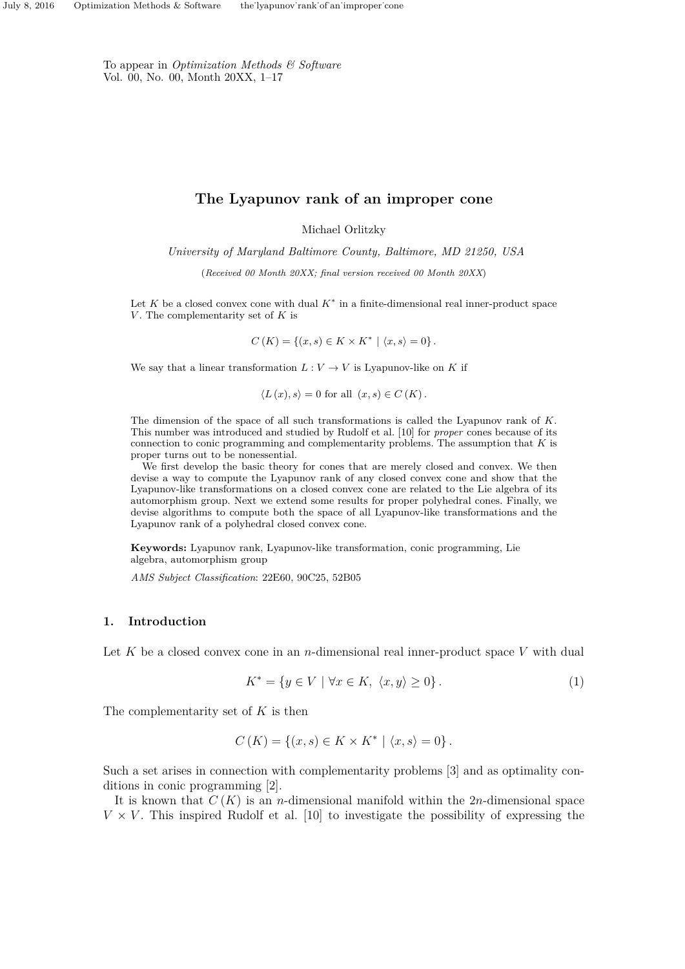To appear in *Optimization Methods & Software* Vol. 00, No. 00, Month 20XX, 1–17

# **The Lyapunov rank of an improper cone**

Michael Orlitzky

*University of Maryland Baltimore County, Baltimore, MD 21250, USA*

(*Received 00 Month 20XX; final version received 00 Month 20XX*)

Let  $K$  be a closed convex cone with dual  $K^*$  in a finite-dimensional real inner-product space *V* . The complementarity set of *K* is

$$
C(K) = \{(x, s) \in K \times K^* \mid \langle x, s \rangle = 0\}.
$$

We say that a linear transformation  $L: V \to V$  is Lyapunov-like on K if

$$
\langle L(x), s \rangle = 0 \text{ for all } (x, s) \in C(K).
$$

The dimension of the space of all such transformations is called the Lyapunov rank of *K*. This number was introduced and studied by Rudolf et al. [10] for *proper* cones because of its connection to conic programming and complementarity problems. The assumption that *K* is proper turns out to be nonessential.

We first develop the basic theory for cones that are merely closed and convex. We then devise a way to compute the Lyapunov rank of any closed convex cone and show that the Lyapunov-like transformations on a closed convex cone are related to the Lie algebra of its automorphism group. Next we extend some results for proper polyhedral cones. Finally, we devise algorithms to compute both the space of all Lyapunov-like transformations and the Lyapunov rank of a polyhedral closed convex cone.

**Keywords:** Lyapunov rank, Lyapunov-like transformation, conic programming, Lie algebra, automorphism group

*AMS Subject Classification*: 22E60, 90C25, 52B05

# **1. Introduction**

Let K be a closed convex cone in an *n*-dimensional real inner-product space V with dual

$$
K^* = \{ y \in V \mid \forall x \in K, \ \langle x, y \rangle \ge 0 \}. \tag{1}
$$

The complementarity set of *K* is then

$$
C(K) = \{(x, s) \in K \times K^* \mid \langle x, s \rangle = 0\}.
$$

Such a set arises in connection with complementarity problems [3] and as optimality conditions in conic programming [2].

It is known that *C* (*K*) is an *n*-dimensional manifold within the 2*n*-dimensional space  $V \times V$ . This inspired Rudolf et al. [10] to investigate the possibility of expressing the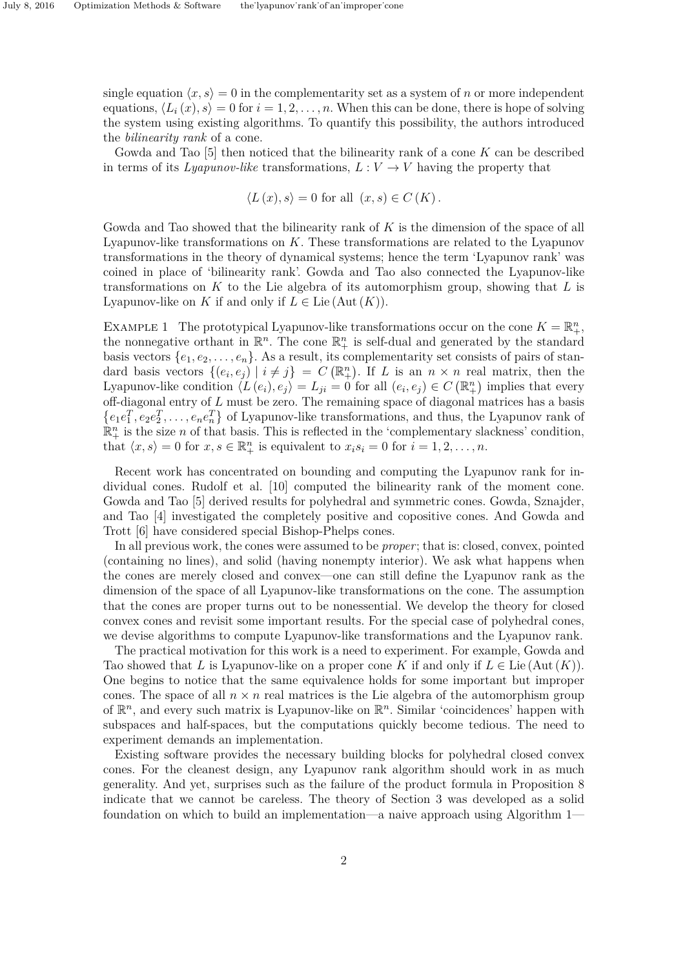single equation  $\langle x, s \rangle = 0$  in the complementarity set as a system of *n* or more independent equations,  $\langle L_i(x), s \rangle = 0$  for  $i = 1, 2, ..., n$ . When this can be done, there is hope of solving the system using existing algorithms. To quantify this possibility, the authors introduced the *bilinearity rank* of a cone.

Gowda and Tao [5] then noticed that the bilinearity rank of a cone *K* can be described in terms of its *Lyapunov-like* transformations,  $L: V \to V$  having the property that

$$
\langle L(x), s \rangle = 0
$$
 for all  $(x, s) \in C(K)$ .

Gowda and Tao showed that the bilinearity rank of *K* is the dimension of the space of all Lyapunov-like transformations on *K*. These transformations are related to the Lyapunov transformations in the theory of dynamical systems; hence the term 'Lyapunov rank' was coined in place of 'bilinearity rank'. Gowda and Tao also connected the Lyapunov-like transformations on *K* to the Lie algebra of its automorphism group, showing that *L* is Lyapunov-like on *K* if and only if  $L \in$  Lie (Aut  $(K)$ ).

EXAMPLE 1 The prototypical Lyapunov-like transformations occur on the cone  $K = \mathbb{R}^n_+$ , the nonnegative orthant in  $\mathbb{R}^n$ . The cone  $\mathbb{R}^n_+$  is self-dual and generated by the standard basis vectors  $\{e_1, e_2, \ldots, e_n\}$ . As a result, its complementarity set consists of pairs of standard basis vectors  $\{(e_i, e_j) | i \neq j\} = C(\mathbb{R}^n_+)$ . If *L* is an  $n \times n$  real matrix, then the Lyapunov-like condition  $\langle L(e_i), e_j \rangle = L_{ji} = 0$  for all  $(e_i, e_j) \in C(\mathbb{R}^n_+)$  implies that every off-diagonal entry of *L* must be zero. The remaining space of diagonal matrices has a basis  $\{e_1e_1^T, e_2e_2^T, \ldots, e_ne_n^T\}$  of Lyapunov-like transformations, and thus, the Lyapunov rank of  $\mathbb{R}^n_+$  is the size *n* of that basis. This is reflected in the 'complementary slackness' condition, that  $\langle x, s \rangle = 0$  for  $x, s \in \mathbb{R}^n_+$  is equivalent to  $x_i s_i = 0$  for  $i = 1, 2, \ldots, n$ .

Recent work has concentrated on bounding and computing the Lyapunov rank for individual cones. Rudolf et al. [10] computed the bilinearity rank of the moment cone. Gowda and Tao [5] derived results for polyhedral and symmetric cones. Gowda, Sznajder, and Tao [4] investigated the completely positive and copositive cones. And Gowda and Trott [6] have considered special Bishop-Phelps cones.

In all previous work, the cones were assumed to be *proper*; that is: closed, convex, pointed (containing no lines), and solid (having nonempty interior). We ask what happens when the cones are merely closed and convex—one can still define the Lyapunov rank as the dimension of the space of all Lyapunov-like transformations on the cone. The assumption that the cones are proper turns out to be nonessential. We develop the theory for closed convex cones and revisit some important results. For the special case of polyhedral cones, we devise algorithms to compute Lyapunov-like transformations and the Lyapunov rank.

The practical motivation for this work is a need to experiment. For example, Gowda and Tao showed that *L* is Lyapunov-like on a proper cone *K* if and only if  $L \in$  Lie (Aut  $(K)$ ). One begins to notice that the same equivalence holds for some important but improper cones. The space of all  $n \times n$  real matrices is the Lie algebra of the automorphism group of  $\mathbb{R}^n$ , and every such matrix is Lyapunov-like on  $\mathbb{R}^n$ . Similar 'coincidences' happen with subspaces and half-spaces, but the computations quickly become tedious. The need to experiment demands an implementation.

Existing software provides the necessary building blocks for polyhedral closed convex cones. For the cleanest design, any Lyapunov rank algorithm should work in as much generality. And yet, surprises such as the failure of the product formula in Proposition 8 indicate that we cannot be careless. The theory of Section 3 was developed as a solid foundation on which to build an implementation—a naive approach using Algorithm 1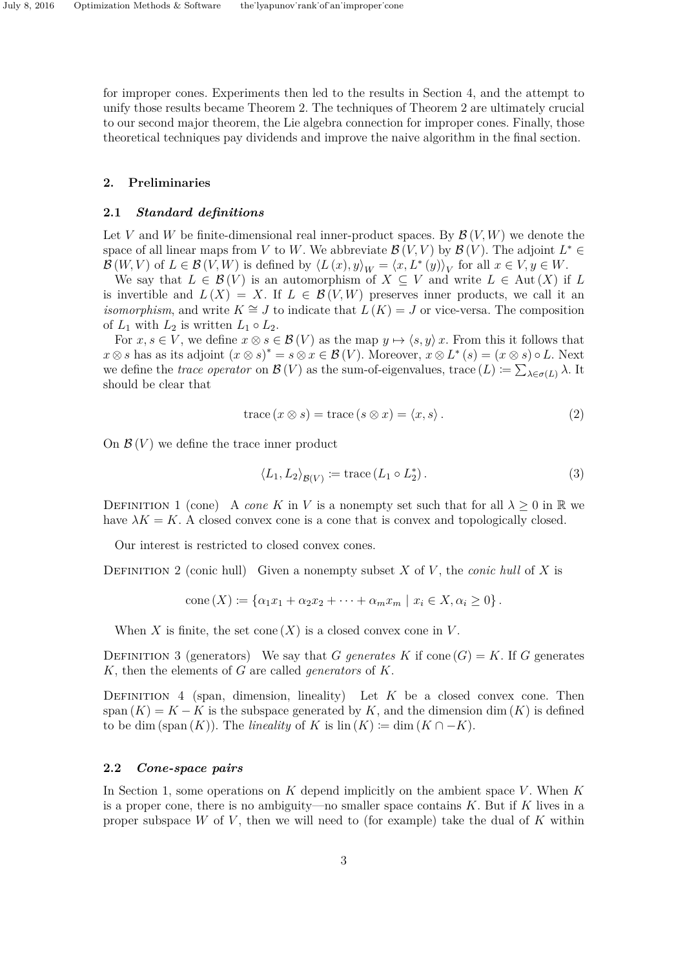for improper cones. Experiments then led to the results in Section 4, and the attempt to unify those results became Theorem 2. The techniques of Theorem 2 are ultimately crucial to our second major theorem, the Lie algebra connection for improper cones. Finally, those theoretical techniques pay dividends and improve the naive algorithm in the final section.

### **2. Preliminaries**

### **2.1** *Standard definitions*

Let *V* and *W* be finite-dimensional real inner-product spaces. By  $\mathcal{B}(V, W)$  we denote the space of all linear maps from *V* to *W*. We abbreviate  $\mathcal{B}(V, V)$  by  $\mathcal{B}(V)$ . The adjoint  $L^* \in$  $\mathcal{B}(W, V)$  of  $L \in \mathcal{B}(V, W)$  is defined by  $\langle L(x), y \rangle_W = \langle x, L^*(y) \rangle_V$  for all  $x \in V, y \in W$ .

We say that  $L \in \mathcal{B}(V)$  is an automorphism of  $X \subseteq V$  and write  $L \in \text{Aut}(X)$  if  $L$ is invertible and  $L(X) = X$ . If  $L \in \mathcal{B}(V, W)$  preserves inner products, we call it an *isomorphism*, and write  $K \cong J$  to indicate that  $L(K) = J$  or vice-versa. The composition of  $L_1$  with  $L_2$  is written  $L_1 \circ L_2$ .

For  $x, s \in V$ , we define  $x \otimes s \in \mathcal{B}(V)$  as the map  $y \mapsto \langle s, y \rangle x$ . From this it follows that  $x \otimes s$  has as its adjoint  $(x \otimes s)^* = s \otimes x \in \mathcal{B}(V)$ . Moreover,  $x \otimes L^*(s) = (x \otimes s) \circ L$ . Next we define the *trace operator* on  $\mathcal{B}(V)$  as the sum-of-eigenvalues, trace  $(L) \coloneqq \sum_{\lambda \in \sigma(L)} \lambda$ . It should be clear that

$$
trace (x \otimes s) = trace (s \otimes x) = \langle x, s \rangle.
$$
 (2)

On  $\mathcal{B}(V)$  we define the trace inner product

$$
\langle L_1, L_2 \rangle_{\mathcal{B}(V)} \coloneqq \text{trace}\left(L_1 \circ L_2^*\right). \tag{3}
$$

DEFINITION 1 (cone) A *cone* K in V is a nonempty set such that for all  $\lambda > 0$  in R we have  $\lambda K = K$ . A closed convex cone is a cone that is convex and topologically closed.

Our interest is restricted to closed convex cones.

Definition 2 (conic hull) Given a nonempty subset *X* of *V* , the *conic hull* of *X* is

$$
cone(X) \coloneqq \{ \alpha_1 x_1 + \alpha_2 x_2 + \dots + \alpha_m x_m \mid x_i \in X, \alpha_i \ge 0 \}.
$$

When *X* is finite, the set cone  $(X)$  is a closed convex cone in *V*.

DEFINITION 3 (generators) We say that *G* generates *K* if cone  $(G) = K$ . If *G* generates *K*, then the elements of *G* are called *generators* of *K*.

DEFINITION 4 (span, dimension, lineality) Let  $K$  be a closed convex cone. Then span  $(K) = K - K$  is the subspace generated by *K*, and the dimension dim  $(K)$  is defined to be dim (span  $(K)$ ). The *lineality* of  $K$  is  $\text{lin}(K) := \text{dim}(K \cap -K)$ .

#### **2.2** *Cone-space pairs*

In Section 1, some operations on *K* depend implicitly on the ambient space *V* . When *K* is a proper cone, there is no ambiguity—no smaller space contains *K*. But if *K* lives in a proper subspace *W* of *V* , then we will need to (for example) take the dual of *K* within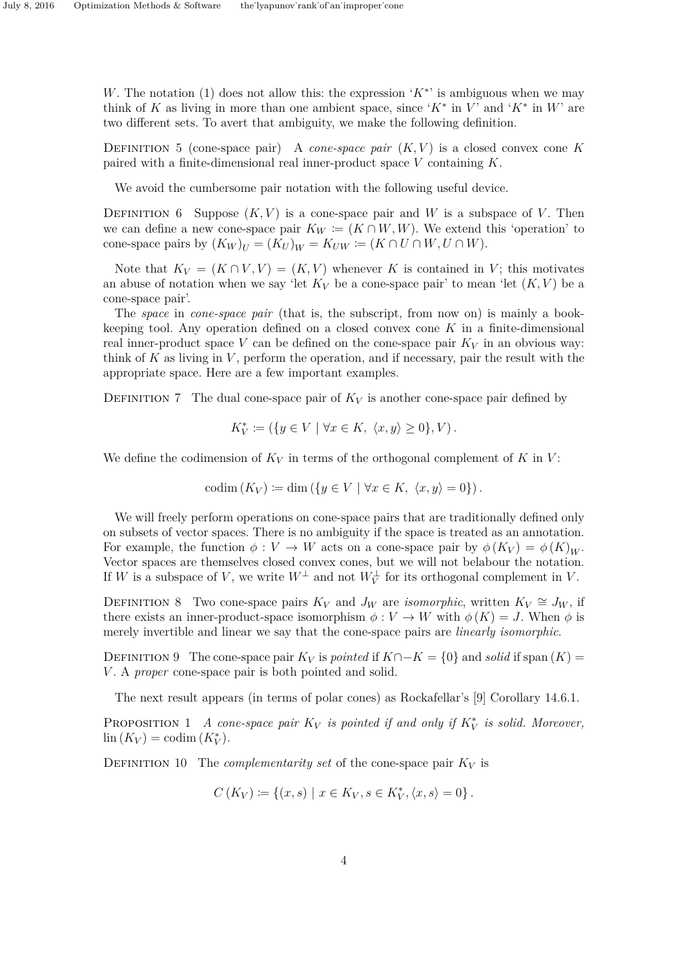*W*. The notation (1) does not allow this: the expression '*K*<sup>\*</sup>' is ambiguous when we may think of *K* as living in more than one ambient space, since ' $K^*$  in *V*' and ' $K^*$  in *W*' are two different sets. To avert that ambiguity, we make the following definition.

DEFINITION 5 (cone-space pair) A *cone-space pair*  $(K, V)$  is a closed convex cone K paired with a finite-dimensional real inner-product space *V* containing *K*.

We avoid the cumbersome pair notation with the following useful device.

DEFINITION 6 Suppose  $(K, V)$  is a cone-space pair and W is a subspace of V. Then we can define a new cone-space pair  $K_W \coloneqq (K \cap W, W)$ . We extend this 'operation' to cone-space pairs by  $(K_W)_{U} = (K_U)_{W} = K_{UW} := (K \cap U \cap W, U \cap W)$ .

Note that  $K_V = (K \cap V, V) = (K, V)$  whenever K is contained in V; this motivates an abuse of notation when we say 'let  $K_V$  be a cone-space pair' to mean 'let  $(K, V)$  be a cone-space pair'.

The *space* in *cone-space pair* (that is, the subscript, from now on) is mainly a bookkeeping tool. Any operation defined on a closed convex cone *K* in a finite-dimensional real inner-product space *V* can be defined on the cone-space pair  $K_V$  in an obvious way: think of *K* as living in *V* , perform the operation, and if necessary, pair the result with the appropriate space. Here are a few important examples.

DEFINITION 7 The dual cone-space pair of  $K_V$  is another cone-space pair defined by

$$
K_V^* \coloneqq (\{y \in V \mid \forall x \in K, \ \langle x, y \rangle \ge 0\}, V).
$$

We define the codimension of  $K_V$  in terms of the orthogonal complement of  $K$  in  $V$ :

$$
\mathrm{codim}(K_V) \coloneqq \dim\left(\{y \in V \mid \forall x \in K, \ \langle x, y \rangle = 0\}\right).
$$

We will freely perform operations on cone-space pairs that are traditionally defined only on subsets of vector spaces. There is no ambiguity if the space is treated as an annotation. For example, the function  $\phi: V \to W$  acts on a cone-space pair by  $\phi(K_V) = \phi(K)_W$ . Vector spaces are themselves closed convex cones, but we will not belabour the notation. If *W* is a subspace of *V*, we write  $W^{\perp}$  and not  $W^{\perp}_{V}$  for its orthogonal complement in *V*.

DEFINITION 8 Two cone-space pairs  $K_V$  and  $J_W$  are *isomorphic*, written  $K_V \cong J_W$ , if there exists an inner-product-space isomorphism  $\phi: V \to W$  with  $\phi(K) = J$ . When  $\phi$  is merely invertible and linear we say that the cone-space pairs are *linearly isomorphic*.

DEFINITION 9 The cone-space pair  $K_V$  is *pointed* if  $K \cap -K = \{0\}$  and *solid* if span  $(K) =$ *V* . A *proper* cone-space pair is both pointed and solid.

The next result appears (in terms of polar cones) as Rockafellar's [9] Corollary 14.6.1.

PROPOSITION 1 *A cone-space pair*  $K_V$  *is pointed if and only if*  $K_V^*$  *is solid. Moreover,*  $\lim (K_V) = \text{codim}(K_V^*).$ 

DEFINITION 10 The *complementarity set* of the cone-space pair  $K_V$  is

$$
C(K_V) := \{(x, s) \mid x \in K_V, s \in K_V^*, \langle x, s \rangle = 0\}.
$$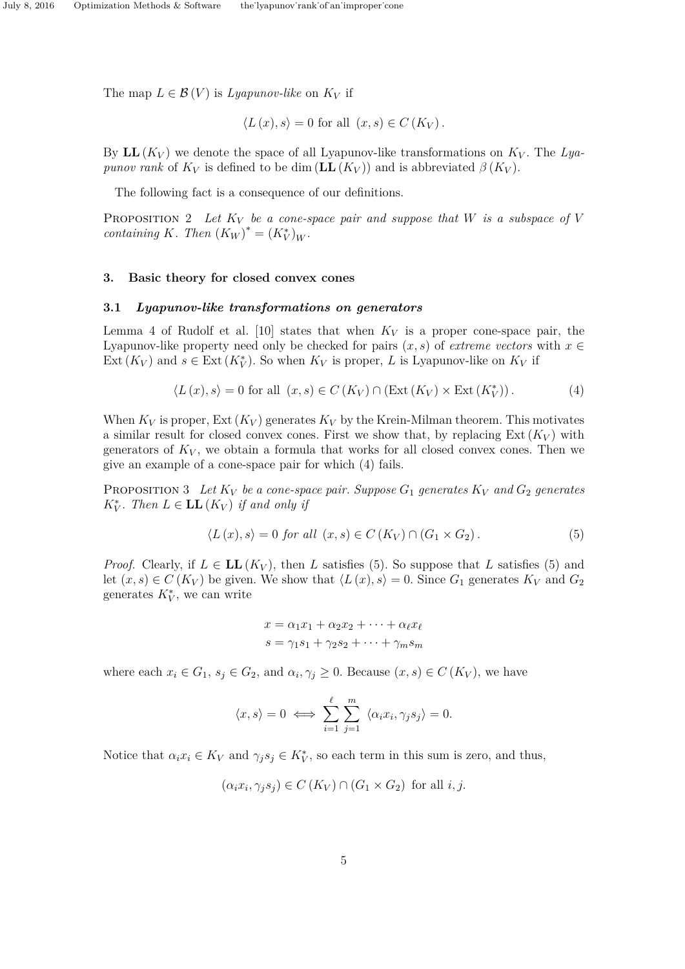The map  $L \in \mathcal{B}(V)$  is *Lyapunov-like* on  $K_V$  if

$$
\langle L(x), s \rangle = 0 \text{ for all } (x, s) \in C(K_V).
$$

By  $LL(K_V)$  we denote the space of all Lyapunov-like transformations on  $K_V$ . The Lya*punov rank* of  $K_V$  is defined to be dim  $(\mathbf{LL}(K_V))$  and is abbreviated  $\beta(K_V)$ .

The following fact is a consequence of our definitions.

PROPOSITION 2 Let  $K_V$  be a cone-space pair and suppose that W is a subspace of V *containing K. Then*  $(K_W)^* = (K_V^*)_W$ *.* 

### **3. Basic theory for closed convex cones**

### **3.1** *Lyapunov-like transformations on generators*

Lemma 4 of Rudolf et al. [10] states that when  $K_V$  is a proper cone-space pair, the Lyapunov-like property need only be checked for pairs  $(x, s)$  of *extreme vectors* with  $x \in$ Ext  $(K_V)$  and  $s \in \text{Ext}(K_V^*)$ . So when  $K_V$  is proper, *L* is Lyapunov-like on  $K_V$  if

$$
\langle L(x), s \rangle = 0 \text{ for all } (x, s) \in C(K_V) \cap (\text{Ext}(K_V) \times \text{Ext}(K_V^*)) . \tag{4}
$$

When  $K_V$  is proper,  $Ext(K_V)$  generates  $K_V$  by the Krein-Milman theorem. This motivates a similar result for closed convex cones. First we show that, by replacing  $Ext(K_V)$  with generators of  $K_V$ , we obtain a formula that works for all closed convex cones. Then we give an example of a cone-space pair for which (4) fails.

PROPOSITION 3 Let  $K_V$  be a cone-space pair. Suppose  $G_1$  generates  $K_V$  and  $G_2$  generates *K*<sup>\*</sup><sub>*V*</sub>. Then  $L \in$  **LL**(*K<sub>V</sub>*) *if and only if* 

$$
\langle L(x), s \rangle = 0 \text{ for all } (x, s) \in C(K_V) \cap (G_1 \times G_2). \tag{5}
$$

*Proof.* Clearly, if  $L \in LL(K_V)$ , then *L* satisfies (5). So suppose that *L* satisfies (5) and let  $(x, s) \in C(K_V)$  be given. We show that  $\langle L(x), s \rangle = 0$ . Since  $G_1$  generates  $K_V$  and  $G_2$ generates  $K_V^*$ , we can write

$$
x = \alpha_1 x_1 + \alpha_2 x_2 + \dots + \alpha_\ell x_\ell
$$

$$
s = \gamma_1 s_1 + \gamma_2 s_2 + \dots + \gamma_m s_m
$$

where each  $x_i \in G_1$ ,  $s_j \in G_2$ , and  $\alpha_i, \gamma_j \geq 0$ . Because  $(x, s) \in C(K_V)$ , we have

$$
\langle x, s \rangle = 0 \iff \sum_{i=1}^{\ell} \sum_{j=1}^{m} \langle \alpha_i x_i, \gamma_j s_j \rangle = 0.
$$

Notice that  $\alpha_i x_i \in K_V$  and  $\gamma_j s_j \in K_V^*$ , so each term in this sum is zero, and thus,

$$
(\alpha_i x_i, \gamma_j s_j) \in C(K_V) \cap (G_1 \times G_2) \text{ for all } i, j.
$$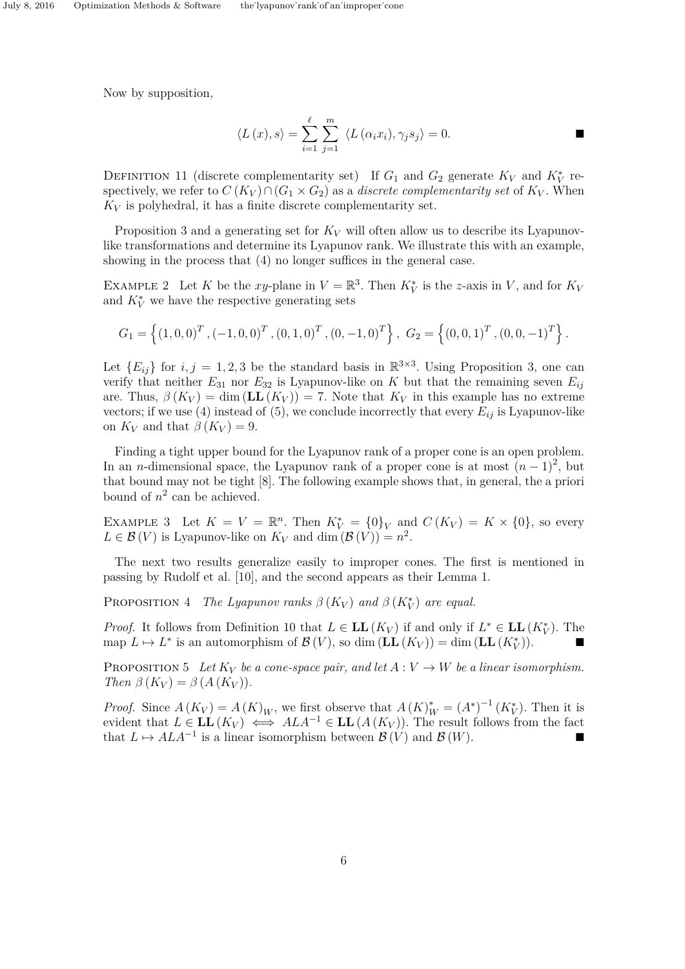Now by supposition,

$$
\langle L(x), s \rangle = \sum_{i=1}^{\ell} \sum_{j=1}^{m} \langle L(\alpha_i x_i), \gamma_j s_j \rangle = 0.
$$

DEFINITION 11 (discrete complementarity set) If  $G_1$  and  $G_2$  generate  $K_V$  and  $K_V^*$  respectively, we refer to  $C(K_V) \cap (G_1 \times G_2)$  as a *discrete complementarity set* of  $K_V$ . When  $K_V$  is polyhedral, it has a finite discrete complementarity set.

Proposition 3 and a generating set for  $K_V$  will often allow us to describe its Lyapunovlike transformations and determine its Lyapunov rank. We illustrate this with an example, showing in the process that (4) no longer suffices in the general case.

EXAMPLE 2 Let *K* be the *xy*-plane in  $V = \mathbb{R}^3$ . Then  $K_V^*$  is the *z*-axis in *V*, and for  $K_V$ and  $K_V^*$  we have the respective generating sets

$$
G_1 = \left\{ (1,0,0)^T, (-1,0,0)^T, (0,1,0)^T, (0,-1,0)^T \right\}, \ G_2 = \left\{ (0,0,1)^T, (0,0,-1)^T \right\}.
$$

Let  ${E_{ij}}$  for  $i, j = 1, 2, 3$  be the standard basis in  $\mathbb{R}^{3 \times 3}$ . Using Proposition 3, one can verify that neither  $E_{31}$  nor  $E_{32}$  is Lyapunov-like on *K* but that the remaining seven  $E_{ij}$ are. Thus,  $\beta(K_V) = \dim(LL(K_V)) = 7$ . Note that  $K_V$  in this example has no extreme vectors; if we use (4) instead of (5), we conclude incorrectly that every  $E_{ij}$  is Lyapunov-like on  $K_V$  and that  $\beta(K_V) = 9$ .

Finding a tight upper bound for the Lyapunov rank of a proper cone is an open problem. In an *n*-dimensional space, the Lyapunov rank of a proper cone is at most  $(n-1)^2$ , but that bound may not be tight [8]. The following example shows that, in general, the a priori bound of  $n^2$  can be achieved.

EXAMPLE 3 Let  $K = V = \mathbb{R}^n$ . Then  $K_V^* = \{0\}_V$  and  $C(K_V) = K \times \{0\}$ , so every  $L \in \mathcal{B}(V)$  is Lyapunov-like on  $K_V$  and dim  $(\mathcal{B}(V)) = n^2$ .

The next two results generalize easily to improper cones. The first is mentioned in passing by Rudolf et al. [10], and the second appears as their Lemma 1.

PROPOSITION 4 *The Lyapunov ranks*  $\beta(K_V)$  and  $\beta(K_V^*)$  are equal.

*Proof.* It follows from Definition 10 that  $L \in LL(K_V)$  if and only if  $L^* \in LL(K_V^*)$ . The map  $L \mapsto L^*$  is an automorphism of  $\mathcal{B}(V)$ , so dim  $(\mathbf{LL}(K_V)) = \dim (\mathbf{LL}(K_V^*))$ .

PROPOSITION 5 Let  $K_V$  be a cone-space pair, and let  $A: V \to W$  be a linear isomorphism.  $Then \beta(K_V) = \beta(A(K_V)).$ 

*Proof.* Since  $A(K_V) = A(K)_W$ , we first observe that  $A(K)_W^* = (A^*)^{-1}(K_V^*)$ . Then it is evident that  $L \in LL(K_V) \iff ALA^{-1} \in LL(A(K_V))$ . The result follows from the fact that  $L \mapsto ALA^{-1}$  is a linear isomorphism between  $\mathcal{B}(V)$  and  $\mathcal{B}(W)$ .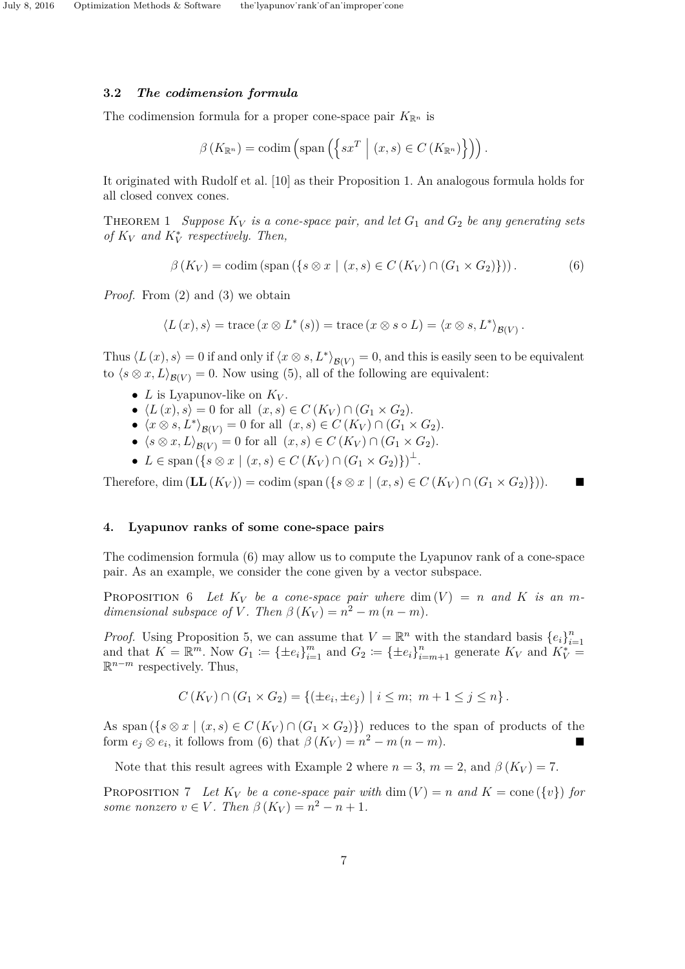### **3.2** *The codimension formula*

The codimension formula for a proper cone-space pair  $K_{\mathbb{R}^n}$  is

$$
\beta\left(K_{\mathbb{R}^n}\right) = \operatorname{codim}\left(\operatorname{span}\left(\left\{sx^T \mid (x,s) \in C\left(K_{\mathbb{R}^n}\right)\right\}\right)\right).
$$

It originated with Rudolf et al. [10] as their Proposition 1. An analogous formula holds for all closed convex cones.

THEOREM 1 *Suppose*  $K_V$  *is a cone-space pair, and let*  $G_1$  *and*  $G_2$  *be any generating sets of*  $K_V$  *and*  $K_V^*$  *respectively. Then,* 

$$
\beta(K_V) = \text{codim} \left( \text{span} \left( \{ s \otimes x \mid (x, s) \in C(K_V) \cap (G_1 \times G_2) \} \right) \right). \tag{6}
$$

*Proof.* From (2) and (3) we obtain

$$
\langle L(x),s\rangle=\text{trace}\left(x\otimes L^*(s)\right)=\text{trace}\left(x\otimes s\circ L\right)=\langle x\otimes s,L^*\rangle_{\mathcal{B}(V)}.
$$

Thus  $\langle L(x), s \rangle = 0$  if and only if  $\langle x \otimes s, L^* \rangle_{\mathcal{B}(V)} = 0$ , and this is easily seen to be equivalent to  $\langle s \otimes x, L \rangle_{\mathcal{B}(V)} = 0$ . Now using (5), all of the following are equivalent:

- $L$  is Lyapunov-like on  $K_V$ .
- $\langle L(x), s \rangle = 0$  for all  $(x, s) \in C(K_V) \cap (G_1 \times G_2)$ .
- $\langle x \otimes s, L^* \rangle_{\mathcal{B}(V)} = 0$  for all  $(x, s) \in C(K_V) \cap (G_1 \times G_2)$ .
- $\langle s \otimes x, L \rangle_{\mathcal{B}(V)} = 0$  for all  $(x, s) \in C(K_V) \cap (G_1 \times G_2).$
- $L \in \text{span}(\{s \otimes x \mid (x, s) \in C(K_V) \cap (G_1 \times G_2)\})^{\perp}.$

Therefore, dim  $(\mathbf{LL}(K_V)) = \text{codim} (\text{span}(\{s \otimes x \mid (x,s) \in C(K_V) \cap (G_1 \times G_2)\}))$ .

# **4. Lyapunov ranks of some cone-space pairs**

The codimension formula (6) may allow us to compute the Lyapunov rank of a cone-space pair. As an example, we consider the cone given by a vector subspace.

**PROPOSITION** 6 Let  $K_V$  be a cone-space pair where  $\dim(V) = n$  and K is an m*dimensional subspace of V*. Then  $\beta(K_V) = n^2 - m(n-m)$ .

*Proof.* Using Proposition 5, we can assume that  $V = \mathbb{R}^n$  with the standard basis  $\{e_i\}_{i=1}^n$ *i*=1 and that  $K = \mathbb{R}^m$ . Now  $G_1 := {\pm e_i}_{i=1}^m$  and  $G_2 := {\pm e_i}_{i=m+1}^n$  generate  $K_V$  and  $K_V^* =$ R *<sup>n</sup>*−*<sup>m</sup>* respectively. Thus,

$$
C(K_V) \cap (G_1 \times G_2) = \{ (\pm e_i, \pm e_j) \mid i \leq m; \ m+1 \leq j \leq n \}.
$$

As span  $({s \otimes x \mid (x, s) \in C(K_V) \cap (G_1 \times G_2)}$  reduces to the span of products of the form  $e_j \otimes e_i$ , it follows from (6) that  $\beta(K_V) = n^2 - m(n-m)$ .

Note that this result agrees with Example 2 where  $n = 3$ ,  $m = 2$ , and  $\beta(K_V) = 7$ .

PROPOSITION 7 Let  $K_V$  be a cone-space pair with dim  $(V) = n$  and  $K = \text{cone}(\{v\})$  for *some nonzero*  $v \in V$ *. Then*  $\beta(K_V) = n^2 - n + 1$ *.*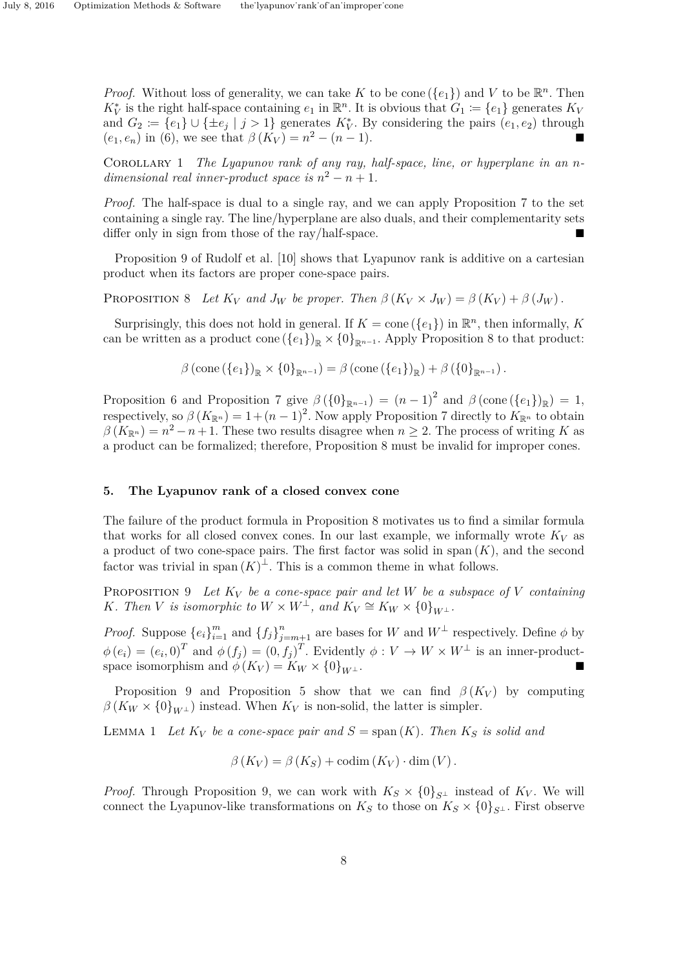*Proof.* Without loss of generality, we can take *K* to be cone ( $\{e_1\}$ ) and *V* to be  $\mathbb{R}^n$ . Then  $K_V^*$  is the right half-space containing  $e_1$  in  $\mathbb{R}^n$ . It is obvious that  $G_1 := \{e_1\}$  generates  $K_V$ and  $G_2 := \{e_1\} \cup \{\pm e_j \mid j > 1\}$  generates  $K_V^*$ . By considering the pairs  $(e_1, e_2)$  through  $(e_1, e_n)$  in (6), we see that  $\beta(K_V) = n^2 - (n-1)$ .

COROLLARY 1 *The Lyapunov rank of any ray, half-space, line, or hyperplane in an ndimensional real inner-product space is*  $n^2 - n + 1$ .

*Proof.* The half-space is dual to a single ray, and we can apply Proposition 7 to the set containing a single ray. The line/hyperplane are also duals, and their complementarity sets differ only in sign from those of the ray/half-space.

Proposition 9 of Rudolf et al. [10] shows that Lyapunov rank is additive on a cartesian product when its factors are proper cone-space pairs.

PROPOSITION 8 Let  $K_V$  and  $J_W$  be proper. Then  $\beta(K_V \times J_W) = \beta(K_V) + \beta(J_W)$ .

Surprisingly, this does not hold in general. If  $K = \text{cone}(\{e_1\})$  in  $\mathbb{R}^n$ , then informally, K can be written as a product cone  $(\{e_1\})_{\mathbb{R}} \times \{0\}_{\mathbb{R}^{n-1}}$ . Apply Proposition 8 to that product:

$$
\beta (\text{cone}(\{e_1\})_{\mathbb{R}} \times \{0\}_{\mathbb{R}^{n-1}}) = \beta (\text{cone}(\{e_1\})_{\mathbb{R}}) + \beta (\{0\}_{\mathbb{R}^{n-1}}).
$$

Proposition 6 and Proposition 7 give  $\beta(\{0\}_{\mathbb{R}^{n-1}}) = (n-1)^2$  and  $\beta(\text{cone}(\{e_1\})_{\mathbb{R}}) = 1$ , respectively, so  $\beta(K_{\mathbb{R}^n}) = 1 + (n-1)^2$ . Now apply Proposition 7 directly to  $K_{\mathbb{R}^n}$  to obtain  $\beta(K_{\mathbb{R}^n}) = n^2 - n + 1$ . These two results disagree when  $n \geq 2$ . The process of writing *K* as a product can be formalized; therefore, Proposition 8 must be invalid for improper cones.

### **5. The Lyapunov rank of a closed convex cone**

The failure of the product formula in Proposition 8 motivates us to find a similar formula that works for all closed convex cones. In our last example, we informally wrote  $K_V$  as a product of two cone-space pairs. The first factor was solid in span  $(K)$ , and the second factor was trivial in span  $(K)^{\perp}$ . This is a common theme in what follows.

PROPOSITION 9 Let  $K_V$  be a cone-space pair and let W be a subspace of V containing *K. Then V is isomorphic to*  $W \times W^{\perp}$ *, and*  $K_V \cong K_W \times \{0\}_{W^{\perp}}$ *.* 

*Proof.* Suppose  ${e_i}_{i=1}^m$  and  ${f_j}_{j=m+1}^n$  are bases for *W* and  $W^{\perp}$  respectively. Define  $\phi$  by  $\phi(e_i) = (e_i, 0)^T$  and  $\phi(f_j) = (0, f_j)^T$ . Evidently  $\phi: V \to W \times W^{\perp}$  is an inner-productspace isomorphism and  $\phi(K_V) = K_W \times \{0\}_{W^{\perp}}$ .

Proposition 9 and Proposition 5 show that we can find  $\beta(K_V)$  by computing  $\beta(K_W \times \{0\}_{W^{\perp}})$  instead. When  $K_V$  is non-solid, the latter is simpler.

**LEMMA 1** Let  $K_V$  be a cone-space pair and  $S = \text{span}(K)$ . Then  $K_S$  is solid and

$$
\beta(K_V) = \beta(K_S) + \text{codim}(K_V) \cdot \dim(V).
$$

*Proof.* Through Proposition 9, we can work with  $K_S \times \{0\}_{S^{\perp}}$  instead of  $K_V$ . We will connect the Lyapunov-like transformations on  $K_S$  to those on  $K_S \times \{0\}_{S^{\perp}}$ . First observe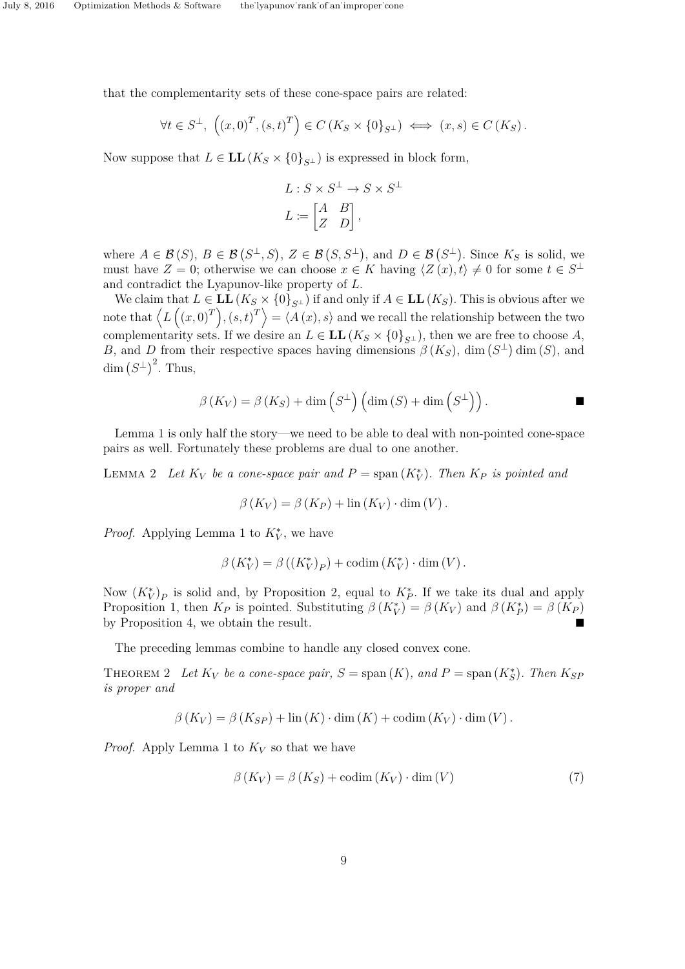that the complementarity sets of these cone-space pairs are related:

$$
\forall t \in S^{\perp}, \left( (x, 0)^{T}, (s, t)^{T} \right) \in C \left( K_S \times \{ 0 \}_{S^{\perp}} \right) \iff (x, s) \in C \left( K_S \right).
$$

Now suppose that  $L \in LL(K_S \times \{0\}_{S^{\perp}})$  is expressed in block form,

$$
L: S \times S^{\perp} \to S \times S^{\perp}
$$

$$
L := \begin{bmatrix} A & B \\ Z & D \end{bmatrix},
$$

where  $A \in \mathcal{B}(S)$ ,  $B \in \mathcal{B}(S^{\perp}, S)$ ,  $Z \in \mathcal{B}(S, S^{\perp})$ , and  $D \in \mathcal{B}(S^{\perp})$ . Since  $K_S$  is solid, we must have  $Z = 0$ ; otherwise we can choose  $x \in K$  having  $\langle Z(x), t \rangle \neq 0$  for some  $t \in S^{\perp}$ and contradict the Lyapunov-like property of *L*.

We claim that  $L \in LL(K_S \times \{0\}_{S^{\perp}})$  if and only if  $A \in LL(K_S)$ . This is obvious after we note that  $\langle L((x,0)^T), (s,t)^T \rangle = \langle A(x), s \rangle$  and we recall the relationship between the two complementarity sets. If we desire an  $L \in LL(K_S \times \{0\}_{S^{\perp}})$ , then we are free to choose A, *B*, and *D* from their respective spaces having dimensions  $\beta(K_S)$ , dim  $(S^{\perp})$  dim  $(S)$ , and dim  $(S^{\perp})^2$ . Thus,

$$
\beta(K_V) = \beta(K_S) + \dim(S^{\perp}) \left( \dim(S) + \dim(S^{\perp}) \right).
$$

Lemma 1 is only half the story—we need to be able to deal with non-pointed cone-space pairs as well. Fortunately these problems are dual to one another.

LEMMA 2 Let  $K_V$  be a cone-space pair and  $P = \text{span}(K_V^*)$ . Then  $K_P$  is pointed and

$$
\beta(K_V) = \beta(K_P) + \text{lin}(K_V) \cdot \text{dim}(V).
$$

*Proof.* Applying Lemma 1 to  $K_V^*$ , we have

$$
\beta(K_V^*) = \beta((K_V^*)_P) + \text{codim}(K_V^*) \cdot \dim(V).
$$

Now  $(K_V^*)_P$  is solid and, by Proposition 2, equal to  $K_P^*$ . If we take its dual and apply Proposition 1, then  $K_P$  is pointed. Substituting  $\beta(K_V^*) = \beta(K_V)$  and  $\beta(K_P^*) = \beta(K_P)$ by Proposition 4, we obtain the result.

The preceding lemmas combine to handle any closed convex cone.

THEOREM 2 Let  $K_V$  be a cone-space pair,  $S = \text{span}(K)$ , and  $P = \text{span}(K_S^*)$ . Then  $K_{SF}$ *is proper and*

$$
\beta(K_V) = \beta(K_{SP}) + \ln(K) \cdot \dim(K) + \operatorname{codim}(K_V) \cdot \dim(V).
$$

*Proof.* Apply Lemma 1 to  $K_V$  so that we have

$$
\beta(K_V) = \beta(K_S) + \text{codim}(K_V) \cdot \dim(V) \tag{7}
$$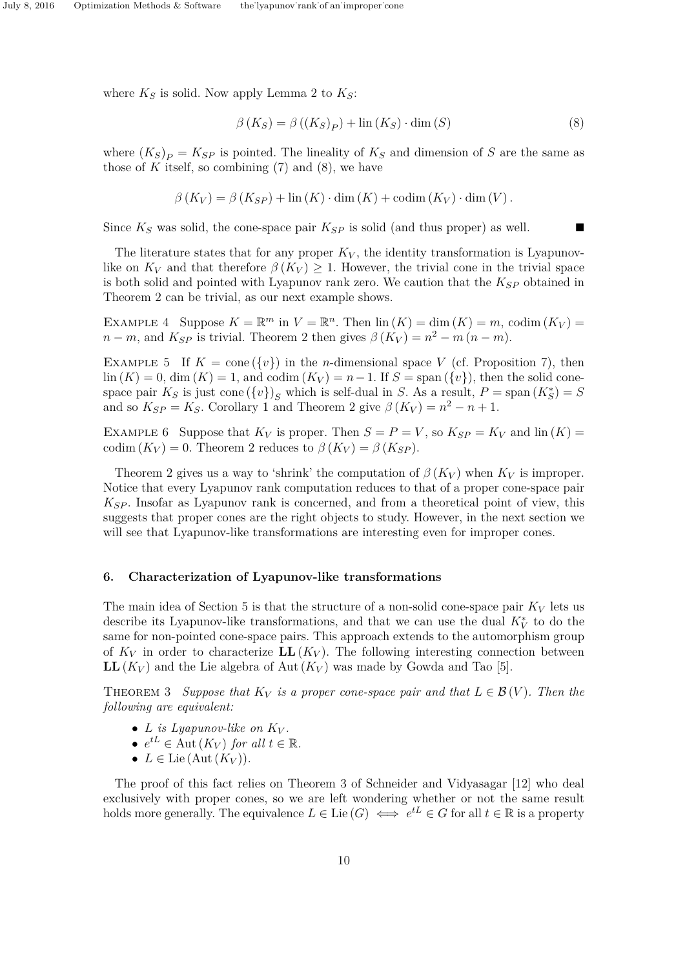where  $K_S$  is solid. Now apply Lemma 2 to  $K_S$ :

$$
\beta(K_S) = \beta((K_S)_P) + \ln(K_S) \cdot \dim(S) \tag{8}
$$

where  $(K_S)_P = K_{SP}$  is pointed. The lineality of  $K_S$  and dimension of *S* are the same as those of  $K$  itself, so combining  $(7)$  and  $(8)$ , we have

$$
\beta(K_V) = \beta(K_{SP}) + \text{lin}(K) \cdot \text{dim}(K) + \text{codim}(K_V) \cdot \text{dim}(V).
$$

Since  $K_S$  was solid, the cone-space pair  $K_{SP}$  is solid (and thus proper) as well.

The literature states that for any proper  $K_V$ , the identity transformation is Lyapunovlike on  $K_V$  and that therefore  $\beta(K_V) \geq 1$ . However, the trivial cone in the trivial space is both solid and pointed with Lyapunov rank zero. We caution that the *KSP* obtained in Theorem 2 can be trivial, as our next example shows.

EXAMPLE 4 Suppose  $K = \mathbb{R}^m$  in  $V = \mathbb{R}^n$ . Then  $\text{lin}(K) = \text{dim}(K) = m$ , codim  $(K_V) =$  $n - m$ , and  $K_{SP}$  is trivial. Theorem 2 then gives  $\beta(K_V) = n^2 - m(n - m)$ .

EXAMPLE 5 If  $K = \text{cone}(\{v\})$  in the *n*-dimensional space *V* (cf. Proposition 7), then  $\lim (K) = 0$ , dim  $(K) = 1$ , and codim  $(K_V) = n - 1$ . If  $S = \text{span}(\{v\})$ , then the solid conespace pair  $K_S$  is just cone  $({v})_S$  which is self-dual in *S*. As a result,  $P = \text{span}(K_S^*) = S$ and so  $K_{SP} = K_S$ . Corollary 1 and Theorem 2 give  $\beta(K_V) = n^2 - n + 1$ .

EXAMPLE 6 Suppose that  $K_V$  is proper. Then  $S = P = V$ , so  $K_{SP} = K_V$  and  $\text{lin}(K) =$ codim  $(K_V) = 0$ . Theorem 2 reduces to  $\beta(K_V) = \beta(K_{SP})$ .

Theorem 2 gives us a way to 'shrink' the computation of  $\beta(K_V)$  when  $K_V$  is improper. Notice that every Lyapunov rank computation reduces to that of a proper cone-space pair *KSP* . Insofar as Lyapunov rank is concerned, and from a theoretical point of view, this suggests that proper cones are the right objects to study. However, in the next section we will see that Lyapunov-like transformations are interesting even for improper cones.

#### **6. Characterization of Lyapunov-like transformations**

The main idea of Section 5 is that the structure of a non-solid cone-space pair  $K_V$  lets us describe its Lyapunov-like transformations, and that we can use the dual  $K_V^*$  to do the same for non-pointed cone-space pairs. This approach extends to the automorphism group of  $K_V$  in order to characterize  $LL(K_V)$ . The following interesting connection between **LL**( $K_V$ ) and the Lie algebra of Aut( $K_V$ ) was made by Gowda and Tao [5].

THEOREM 3 *Suppose that*  $K_V$  *is a proper cone-space pair and that*  $L \in \mathcal{B}(V)$ *. Then the following are equivalent:*

- *L is Lyapunov-like on*  $K_V$ *.*
- $e^{tL} \in \text{Aut}(K_V)$  *for all*  $t \in \mathbb{R}$ *.*
- $L \in$  Lie (Aut  $(K_V)$ ).

The proof of this fact relies on Theorem 3 of Schneider and Vidyasagar [12] who deal exclusively with proper cones, so we are left wondering whether or not the same result holds more generally. The equivalence  $L \in \text{Lie}(G) \iff e^{tL} \in G$  for all  $t \in \mathbb{R}$  is a property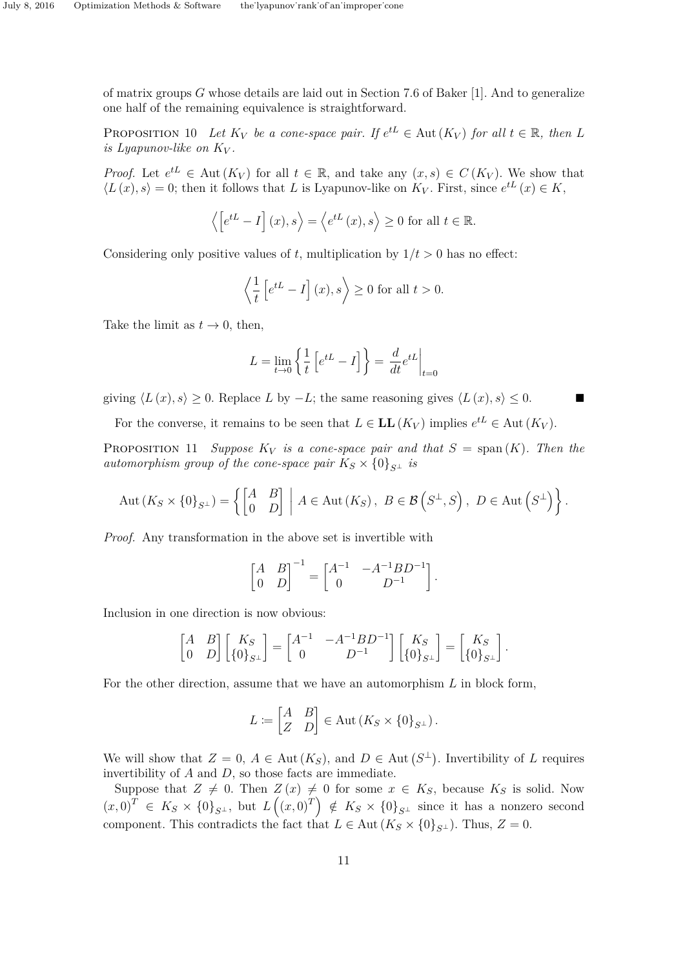of matrix groups *G* whose details are laid out in Section 7.6 of Baker [1]. And to generalize one half of the remaining equivalence is straightforward.

PROPOSITION 10 Let  $K_V$  be a cone-space pair. If  $e^{tL} \in$  Aut  $(K_V)$  for all  $t \in \mathbb{R}$ , then L *is Lyapunov-like on*  $K_V$ .

*Proof.* Let  $e^{tL} \in$  Aut  $(K_V)$  for all  $t \in \mathbb{R}$ , and take any  $(x, s) \in C(K_V)$ . We show that  $\langle L(x), s \rangle = 0$ ; then it follows that *L* is Lyapunov-like on  $K_V$ . First, since  $e^{tL}(x) \in K$ ,

$$
\langle [e^{tL} - I](x), s \rangle = \langle e^{tL}(x), s \rangle \ge 0
$$
 for all  $t \in \mathbb{R}$ .

Considering only positive values of t, multiplication by  $1/t > 0$  has no effect:

$$
\left\langle \frac{1}{t} \left[ e^{tL} - I \right] (x), s \right\rangle \ge 0 \text{ for all } t > 0.
$$

Take the limit as  $t \to 0$ , then,

$$
L = \lim_{t \to 0} \left\{ \frac{1}{t} \left[ e^{tL} - I \right] \right\} = \left. \frac{d}{dt} e^{tL} \right|_{t=0}
$$

giving  $\langle L(x), s \rangle \geq 0$ . Replace *L* by  $-L$ ; the same reasoning gives  $\langle L(x), s \rangle \leq 0$ .

For the converse, it remains to be seen that  $L \in LL(K_V)$  implies  $e^{tL} \in Aut(K_V)$ .

PROPOSITION 11 *Suppose*  $K_V$  *is a cone-space pair and that*  $S = \text{span}(K)$ *. Then the automorphism group of the cone-space pair*  $K_S \times \{0\}_{S^{\perp}}$  *is* 

$$
Aut(K_S \times \{0\}_{S^{\perp}}) = \left\{ \begin{bmatrix} A & B \\ 0 & D \end{bmatrix} \middle| A \in Aut(K_S), \ B \in \mathcal{B}\left(S^{\perp}, S\right), \ D \in Aut\left(S^{\perp}\right) \right\}.
$$

*Proof.* Any transformation in the above set is invertible with

$$
\begin{bmatrix} A & B \\ 0 & D \end{bmatrix}^{-1} = \begin{bmatrix} A^{-1} & -A^{-1}BD^{-1} \\ 0 & D^{-1} \end{bmatrix}.
$$

Inclusion in one direction is now obvious:

$$
\begin{bmatrix} A & B \\ 0 & D \end{bmatrix} \begin{bmatrix} K_S \\ \{0\}_{S^\perp} \end{bmatrix} = \begin{bmatrix} A^{-1} & -A^{-1}BD^{-1} \\ 0 & D^{-1} \end{bmatrix} \begin{bmatrix} K_S \\ \{0\}_{S^\perp} \end{bmatrix} = \begin{bmatrix} K_S \\ \{0\}_{S^\perp} \end{bmatrix}.
$$

For the other direction, assume that we have an automorphism *L* in block form,

$$
L \coloneqq \begin{bmatrix} A & B \\ Z & D \end{bmatrix} \in \text{Aut}\left(K_S \times \{0\}_{S^\perp}\right).
$$

We will show that  $Z = 0$ ,  $A \in \text{Aut}(K_S)$ , and  $D \in \text{Aut}(S^{\perp})$ . Invertibility of L requires invertibility of *A* and *D*, so those facts are immediate.

Suppose that  $Z \neq 0$ . Then  $Z(x) \neq 0$  for some  $x \in K_S$ , because  $K_S$  is solid. Now  $(x,0)^T \in K_S \times \{0\}_{S^{\perp}}$ , but  $L((x,0)^T) \notin K_S \times \{0\}_{S^{\perp}}$  since it has a nonzero second component. This contradicts the fact that  $L \in$  Aut  $(K_S \times \{0\}_{S^{\perp}})$ . Thus,  $Z = 0$ .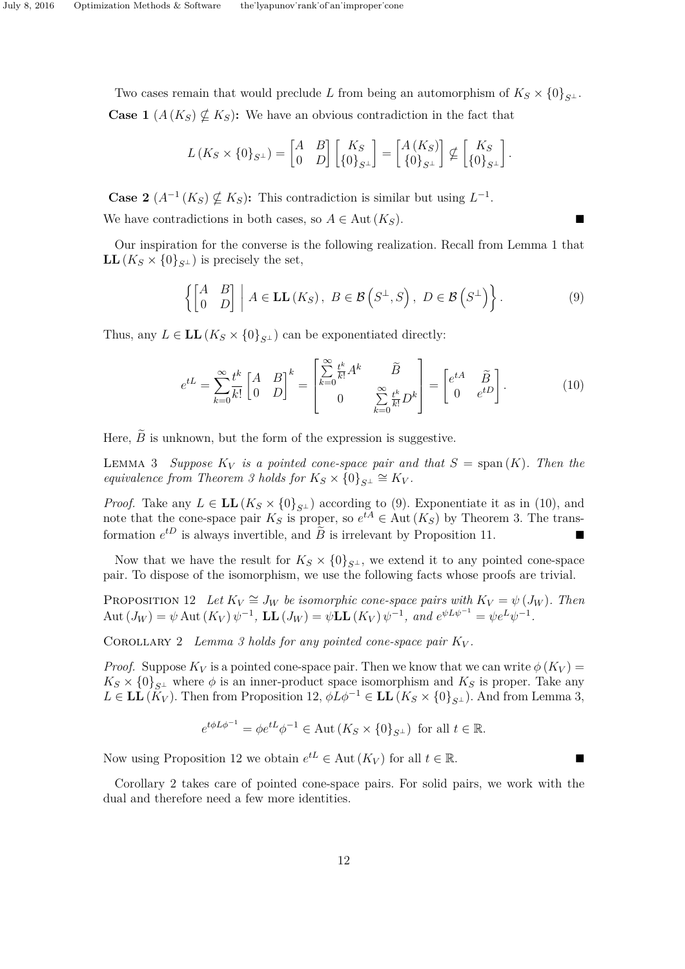Two cases remain that would preclude *L* from being an automorphism of  $K_S \times \{0\}_{S^{\perp}}$ . **Case 1**  $(A(K_S) \nsubseteq K_S)$ : We have an obvious contradiction in the fact that

$$
L(K_S \times \{0\}_{S^{\perp}}) = \begin{bmatrix} A & B \\ 0 & D \end{bmatrix} \begin{bmatrix} K_S \\ \{0\}_{S^{\perp}} \end{bmatrix} = \begin{bmatrix} A(K_S) \\ \{0\}_{S^{\perp}} \end{bmatrix} \nsubseteq \begin{bmatrix} K_S \\ \{0\}_{S^{\perp}} \end{bmatrix}.
$$

**Case 2**  $(A^{-1}(K_S) \nsubseteq K_S)$ : This contradiction is similar but using  $L^{-1}$ . We have contradictions in both cases, so  $A \in$  Aut  $(K_S)$ .

Our inspiration for the converse is the following realization. Recall from Lemma 1 that **LL**( $K_S \times \{0\}_{S^{\perp}}$ ) is precisely the set,

$$
\left\{ \begin{bmatrix} A & B \\ 0 & D \end{bmatrix} \middle| A \in \mathbf{LL}(K_S), \ B \in \mathcal{B}\left(S^{\perp}, S\right), \ D \in \mathcal{B}\left(S^{\perp}\right) \right\}.
$$
\n<sup>(9)</sup>

Thus, any  $L \in LL(K_S \times \{0\}_{S^{\perp}})$  can be exponentiated directly:

$$
e^{tL} = \sum_{k=0}^{\infty} \frac{t^k}{k!} \begin{bmatrix} A & B \\ 0 & D \end{bmatrix}^k = \begin{bmatrix} \sum_{k=0}^{\infty} \frac{t^k}{k!} A^k & \tilde{B} \\ 0 & \sum_{k=0}^{\infty} \frac{t^k}{k!} D^k \end{bmatrix} = \begin{bmatrix} e^{tA} & \tilde{B} \\ 0 & e^{tD} \end{bmatrix}.
$$
 (10)

Here,  $\widetilde{B}$  is unknown, but the form of the expression is suggestive.

LEMMA 3 *Suppose*  $K_V$  *is a pointed cone-space pair and that*  $S = \text{span}(K)$ *. Then the equivalence from Theorem 3 holds for*  $K_S \times \{0\}_{S} \cong K_V$ .

*Proof.* Take any  $L \in LL(K_S \times \{0\}_{S^{\perp}})$  according to (9). Exponentiate it as in (10), and note that the cone-space pair  $K_S$  is proper, so  $e^{tA} \in$  Aut  $(K_S)$  by Theorem 3. The transformation  $e^{tD}$  is always invertible, and  $\tilde{B}$  is irrelevant by Proposition 11.

Now that we have the result for  $K_S \times \{0\}_{S^{\perp}}$ , we extend it to any pointed cone-space pair. To dispose of the isomorphism, we use the following facts whose proofs are trivial.

PROPOSITION 12 *Let*  $K_V \cong J_W$  *be isomorphic cone-space pairs with*  $K_V = \psi(J_W)$ *. Then* Aut  $(J_W) = \psi$  Aut  $(K_V) \psi^{-1}$ , LL  $(J_W) = \psi$ LL  $(K_V) \psi^{-1}$ , and  $e^{\psi L \psi^{-1}} = \psi e^L \psi^{-1}$ .

COROLLARY 2 *Lemma 3 holds for any pointed cone-space pair*  $K_V$ .

*Proof.* Suppose  $K_V$  is a pointed cone-space pair. Then we know that we can write  $\phi(K_V)$  =  $K_S \times \{0\}_{S^{\perp}}$  where  $\phi$  is an inner-product space isomorphism and  $K_S$  is proper. Take any  $L \in \mathbf{LL}(K_V)$ . Then from Proposition 12,  $\phi L \phi^{-1} \in \mathbf{LL}(K_S \times \{0\}_{S^{\perp}})$ . And from Lemma 3,

$$
e^{t\phi L\phi^{-1}} = \phi e^{tL}\phi^{-1} \in \text{Aut}\left(K_S \times \{0\}_{S^\perp}\right) \text{ for all } t \in \mathbb{R}.
$$

Now using Proposition 12 we obtain  $e^{tL} \in$  Aut  $(K_V)$  for all  $t \in \mathbb{R}$ .

Corollary 2 takes care of pointed cone-space pairs. For solid pairs, we work with the dual and therefore need a few more identities.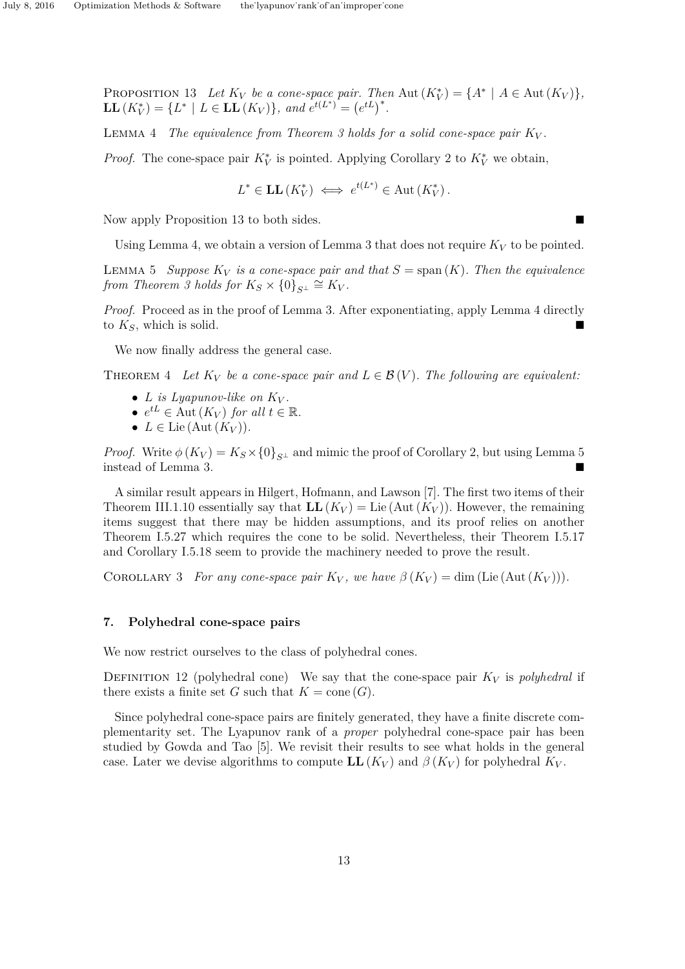PROPOSITION 13 Let  $K_V$  be a cone-space pair. Then Aut  $(K_V^*) = \{A^* \mid A \in \text{Aut}(K_V)\}\$ ,  $\mathbf{LL}(K_V^*) = \{L^* \mid L \in \mathbf{LL}(K_V)\}, \text{ and } e^{t(L^*)^*} = (e^{tL})^*.$ 

LEMMA 4 *The equivalence from Theorem 3 holds for a solid cone-space pair*  $K_V$ .

*Proof.* The cone-space pair  $K_V^*$  is pointed. Applying Corollary 2 to  $K_V^*$  we obtain,

$$
L^* \in
$$
**LL**  $(K_V^*) \iff e^{t(L^*)} \in$  Aut  $(K_V^*)$ .

Now apply Proposition 13 to both sides.

Using Lemma 4, we obtain a version of Lemma 3 that does not require  $K_V$  to be pointed.

LEMMA 5 *Suppose*  $K_V$  *is a cone-space pair and that*  $S = \text{span}(K)$ *. Then the equivalence from Theorem 3 holds for*  $K_S \times \{0\}_{S^{\perp}} \cong K_V$ .

*Proof.* Proceed as in the proof of Lemma 3. After exponentiating, apply Lemma 4 directly to *KS*, which is solid.

We now finally address the general case.

THEOREM 4 Let  $K_V$  be a cone-space pair and  $L \in \mathcal{B}(V)$ . The following are equivalent:

- *L is Lyapunov-like on*  $K_V$ *.*
- $e^{tL} \in \text{Aut}(K_V)$  *for all*  $t \in \mathbb{R}$ *.*
- $L \in$  Lie (Aut  $(K_V)$ ).

*Proof.* Write  $\phi(K_V) = K_S \times \{0\}_{S^{\perp}}$  and mimic the proof of Corollary 2, but using Lemma 5 instead of Lemma 3.

A similar result appears in Hilgert, Hofmann, and Lawson [7]. The first two items of their Theorem III.1.10 essentially say that  $LL(K_V) = Lie(Aut(K_V))$ . However, the remaining items suggest that there may be hidden assumptions, and its proof relies on another Theorem I.5.27 which requires the cone to be solid. Nevertheless, their Theorem I.5.17 and Corollary I.5.18 seem to provide the machinery needed to prove the result.

COROLLARY 3 *For any cone-space pair*  $K_V$ , we have  $\beta(K_V) = \dim (\text{Lie}(\text{Aut}(K_V)))$ .

## **7. Polyhedral cone-space pairs**

We now restrict ourselves to the class of polyhedral cones.

DEFINITION 12 (polyhedral cone) We say that the cone-space pair  $K_V$  is *polyhedral* if there exists a finite set *G* such that  $K = \text{cone}(G)$ .

Since polyhedral cone-space pairs are finitely generated, they have a finite discrete complementarity set. The Lyapunov rank of a *proper* polyhedral cone-space pair has been studied by Gowda and Tao [5]. We revisit their results to see what holds in the general case. Later we devise algorithms to compute  $LL(K_V)$  and  $\beta(K_V)$  for polyhedral  $K_V$ .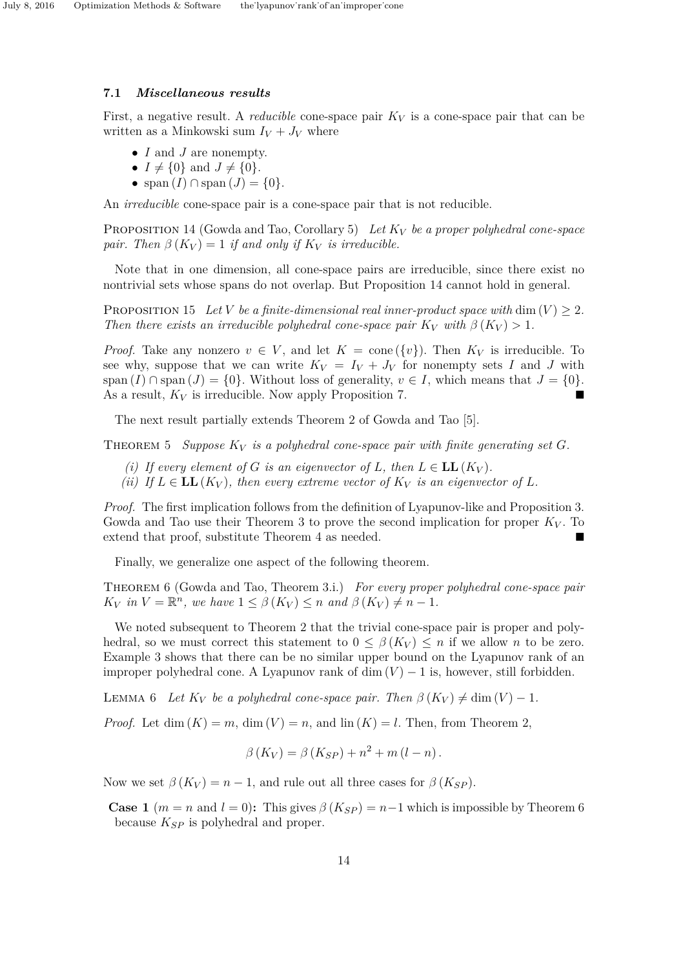### **7.1** *Miscellaneous results*

First, a negative result. A *reducible* cone-space pair *K<sup>V</sup>* is a cone-space pair that can be written as a Minkowski sum  $I_V + J_V$  where

- *I* and *J* are nonempty.
- $I \neq \{0\}$  and  $J \neq \{0\}$ .
- span  $(I) \cap$  span  $(J) = \{0\}.$

An *irreducible* cone-space pair is a cone-space pair that is not reducible.

Proposition 14 (Gowda and Tao, Corollary 5) *Let K<sup>V</sup> be a proper polyhedral cone-space pair.* Then  $\beta(K_V) = 1$  *if and only if*  $K_V$  *is irreducible.* 

Note that in one dimension, all cone-space pairs are irreducible, since there exist no nontrivial sets whose spans do not overlap. But Proposition 14 cannot hold in general.

PROPOSITION 15 Let *V* be a finite-dimensional real inner-product space with dim  $(V) > 2$ . *Then there exists an irreducible polyhedral cone-space pair*  $K_V$  *with*  $\beta(K_V) > 1$ *.* 

*Proof.* Take any nonzero  $v \in V$ , and let  $K = \text{cone}(\{v\})$ . Then  $K_V$  is irreducible. To see why, suppose that we can write  $K_V = I_V + J_V$  for nonempty sets *I* and *J* with span  $(I) \cap \text{span}(J) = \{0\}$ . Without loss of generality,  $v \in I$ , which means that  $J = \{0\}$ . As a result, *K<sup>V</sup>* is irreducible. Now apply Proposition 7.

The next result partially extends Theorem 2 of Gowda and Tao [5].

THEOREM 5 *Suppose*  $K_V$  *is a polyhedral cone-space pair with finite generating set G.* 

- *(i)* If every element of *G* is an eigenvector of *L*, then  $L \in LL(K_V)$ .
- *(ii) If*  $L \in$  **LL**( $K_V$ ), then every extreme vector of  $K_V$  *is an eigenvector of*  $L$ *.*

*Proof.* The first implication follows from the definition of Lyapunov-like and Proposition 3. Gowda and Tao use their Theorem 3 to prove the second implication for proper  $K_V$ . To extend that proof, substitute Theorem 4 as needed.

Finally, we generalize one aspect of the following theorem.

Theorem 6 (Gowda and Tao, Theorem 3.i.) *For every proper polyhedral cone-space pair K*<sub>*V*</sub> *in*  $V = \mathbb{R}^n$ , *we have*  $1 \leq \beta(K_V) \leq n$  *and*  $\beta(K_V) \neq n - 1$ *.* 

We noted subsequent to Theorem 2 that the trivial cone-space pair is proper and polyhedral, so we must correct this statement to  $0 \leq \beta(K_V) \leq n$  if we allow *n* to be zero. Example 3 shows that there can be no similar upper bound on the Lyapunov rank of an improper polyhedral cone. A Lyapunov rank of dim  $(V) - 1$  is, however, still forbidden.

LEMMA 6 Let  $K_V$  be a polyhedral cone-space pair. Then  $\beta(K_V) \neq \dim(V) - 1$ .

*Proof.* Let dim  $(K) = m$ , dim  $(V) = n$ , and  $\text{lin}(K) = l$ . Then, from Theorem 2,

$$
\beta(K_V) = \beta(K_{SP}) + n^2 + m(l - n).
$$

Now we set  $\beta(K_V) = n - 1$ , and rule out all three cases for  $\beta(K_{SP})$ .

**Case 1**  $(m = n \text{ and } l = 0)$ : This gives  $\beta(K_{SP}) = n-1$  which is impossible by Theorem 6 because *KSP* is polyhedral and proper.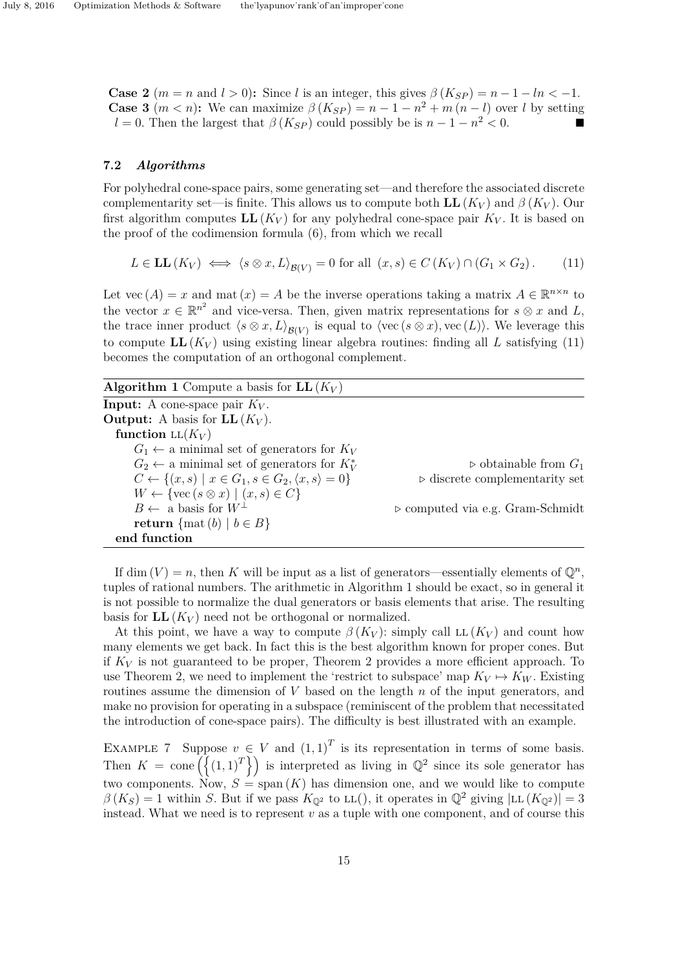**Case 2**  $(m = n \text{ and } l > 0)$ : Since *l* is an integer, this gives  $\beta(K_{SP}) = n - 1 - ln < -1$ . **Case 3**  $(m < n)$ : We can maximize  $\beta(K_{SP}) = n - 1 - n^2 + m(n - l)$  over *l* by setting *l* = 0. Then the largest that  $\beta(K_{SP})$  could possibly be is  $n - 1 - n^2 < 0$ .

# **7.2** *Algorithms*

For polyhedral cone-space pairs, some generating set—and therefore the associated discrete complementarity set—is finite. This allows us to compute both  $LL(K_V)$  and  $\beta(K_V)$ . Our first algorithm computes  $LL(K_V)$  for any polyhedral cone-space pair  $K_V$ . It is based on the proof of the codimension formula (6), from which we recall

$$
L \in LL(K_V) \iff \langle s \otimes x, L \rangle_{\mathcal{B}(V)} = 0 \text{ for all } (x, s) \in C(K_V) \cap (G_1 \times G_2). \tag{11}
$$

Let vec  $(A) = x$  and mat  $(x) = A$  be the inverse operations taking a matrix  $A \in \mathbb{R}^{n \times n}$  to the vector  $x \in \mathbb{R}^{n^2}$  and vice-versa. Then, given matrix representations for  $s \otimes x$  and *L*, the trace inner product  $\langle s \otimes x, L \rangle_{\mathcal{B}(V)}$  is equal to  $\langle \text{vec}(s \otimes x), \text{vec}(L) \rangle$ . We leverage this to compute  $LL(K_V)$  using existing linear algebra routines: finding all *L* satisfying (11) becomes the computation of an orthogonal complement.

| <b>Algorithm 1</b> Compute a basis for $LL(K_V)$                              |                                                 |
|-------------------------------------------------------------------------------|-------------------------------------------------|
| <b>Input:</b> A cone-space pair $K_V$ .                                       |                                                 |
| <b>Output:</b> A basis for $LL(K_V)$ .                                        |                                                 |
| function $LL(K_V)$                                                            |                                                 |
| $G_1 \leftarrow$ a minimal set of generators for $K_V$                        |                                                 |
| $G_2 \leftarrow$ a minimal set of generators for $K_V^*$                      | $\triangleright$ obtainable from $G_1$          |
| $C \leftarrow \{(x, s) \mid x \in G_1, s \in G_2, \langle x, s \rangle = 0\}$ | $\triangleright$ discrete complementarity set   |
| $W \leftarrow \{ \text{vec}(s \otimes x) \mid (x, s) \in C \}$                |                                                 |
| $B \leftarrow$ a basis for $W^{\perp}$                                        | $\triangleright$ computed via e.g. Gram-Schmidt |
| <b>return</b> $\{ \text{mat}(b) \mid b \in B \}$                              |                                                 |
| end function                                                                  |                                                 |

If dim  $(V) = n$ , then *K* will be input as a list of generators—essentially elements of  $\mathbb{Q}^n$ , tuples of rational numbers. The arithmetic in Algorithm 1 should be exact, so in general it is not possible to normalize the dual generators or basis elements that arise. The resulting basis for  $LL(K_V)$  need not be orthogonal or normalized.

At this point, we have a way to compute  $\beta(K_V)$ : simply call LL  $(K_V)$  and count how many elements we get back. In fact this is the best algorithm known for proper cones. But if  $K_V$  is not guaranteed to be proper, Theorem 2 provides a more efficient approach. To use Theorem 2, we need to implement the 'restrict to subspace' map  $K_V \mapsto K_W$ . Existing routines assume the dimension of *V* based on the length *n* of the input generators, and make no provision for operating in a subspace (reminiscent of the problem that necessitated the introduction of cone-space pairs). The difficulty is best illustrated with an example.

EXAMPLE 7 Suppose  $v \in V$  and  $(1,1)^T$  is its representation in terms of some basis. Then  $K = \text{cone}\left(\left\{(1,1)^T\right\}\right)$  is interpreted as living in  $\mathbb{Q}^2$  since its sole generator has two components. Now,  $S = \text{span}(K)$  has dimension one, and we would like to compute  $\beta(K_S) = 1$  within *S*. But if we pass  $K_{\mathbb{Q}^2}$  to LL(), it operates in  $\mathbb{Q}^2$  giving  $|LL(K_{\mathbb{Q}^2})| = 3$ instead. What we need is to represent *v* as a tuple with one component, and of course this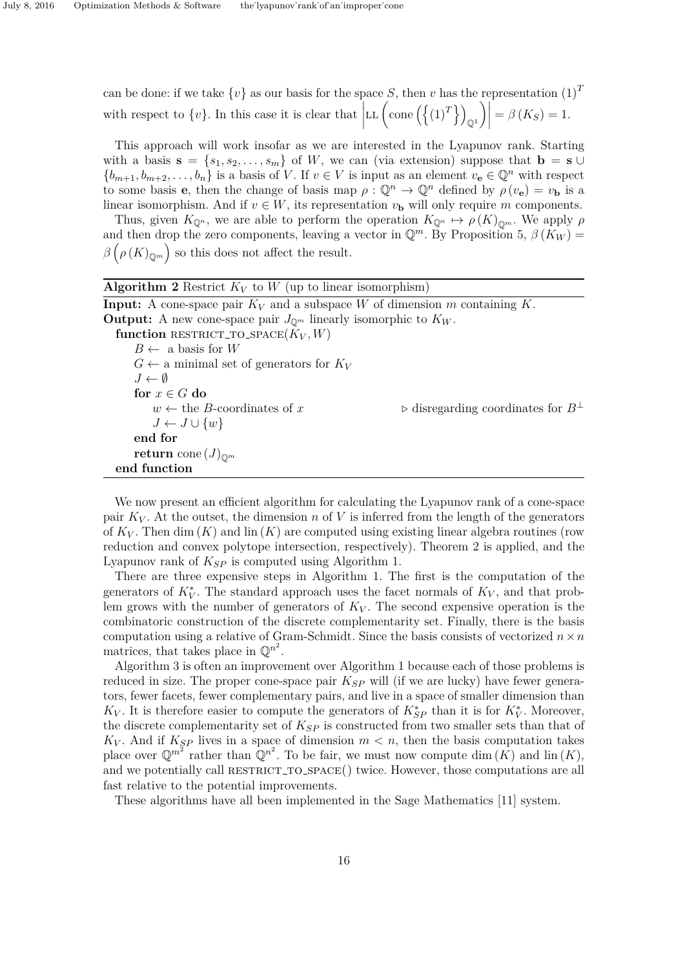can be done: if we take  $\{v\}$  as our basis for the space *S*, then *v* has the representation  $(1)^T$ with respect to  $\{v\}$ . In this case it is clear that  $\left| \right|$ LL  $(\text{cone}(\lbrace (1)^T \rbrace))$  $\mathbb{O}^1$  $\left| \right| = \beta(K_{S}) = 1.$ 

This approach will work insofar as we are interested in the Lyapunov rank. Starting with a basis  $\mathbf{s} = \{s_1, s_2, \ldots, s_m\}$  of *W*, we can (via extension) suppose that  $\mathbf{b} = \mathbf{s} \cup \mathbf{b}$  ${b_{m+1}, b_{m+2}, \ldots, b_n}$  is a basis of *V*. If  $v \in V$  is input as an element  $v_e \in \mathbb{Q}^n$  with respect to some basis **e**, then the change of basis map  $\rho : \mathbb{Q}^n \to \mathbb{Q}^n$  defined by  $\rho(v_e) = v_b$  is a linear isomorphism. And if  $v \in W$ , its representation  $v_{\mathbf{b}}$  will only require *m* components.

Thus, given  $K_{\mathbb{Q}^n}$ , we are able to perform the operation  $K_{\mathbb{Q}^n} \mapsto \rho(K)_{\mathbb{Q}^m}$ . We apply  $\rho$ and then drop the zero components, leaving a vector in  $\mathbb{Q}^m$ . By Proposition 5,  $\beta(K_W)$  =  $\beta\left(\rho(K)_{\mathbb{Q}^m}\right)$  so this does not affect the result.

| <b>Algorithm 2</b> Restrict $K_V$ to W (up to linear isomorphism)                      |                                                           |  |
|----------------------------------------------------------------------------------------|-----------------------------------------------------------|--|
| <b>Input:</b> A cone-space pair $K_V$ and a subspace W of dimension m containing K.    |                                                           |  |
| <b>Output:</b> A new cone-space pair $J_{\mathbb{Q}^m}$ linearly isomorphic to $K_W$ . |                                                           |  |
| function RESTRICT_TO_SPACE $(K_V, W)$                                                  |                                                           |  |
| $B \leftarrow$ a basis for W                                                           |                                                           |  |
| $G \leftarrow$ a minimal set of generators for $K_V$                                   |                                                           |  |
| $J \leftarrow \emptyset$                                                               |                                                           |  |
| for $x \in G$ do                                                                       |                                                           |  |
| $w \leftarrow$ the <i>B</i> -coordinates of x                                          | $\triangleright$ disregarding coordinates for $B^{\perp}$ |  |
| $J \leftarrow J \cup \{w\}$                                                            |                                                           |  |
| end for                                                                                |                                                           |  |
| <b>return</b> cone $(J)_{\mathbb{O}^m}$                                                |                                                           |  |
| end function                                                                           |                                                           |  |

We now present an efficient algorithm for calculating the Lyapunov rank of a cone-space pair  $K_V$ . At the outset, the dimension *n* of V is inferred from the length of the generators of  $K_V$ . Then dim  $(K)$  and lin  $(K)$  are computed using existing linear algebra routines (row reduction and convex polytope intersection, respectively). Theorem 2 is applied, and the Lyapunov rank of *KSP* is computed using Algorithm 1.

There are three expensive steps in Algorithm 1. The first is the computation of the generators of  $K_V^*$ . The standard approach uses the facet normals of  $K_V$ , and that problem grows with the number of generators of *K<sup>V</sup>* . The second expensive operation is the combinatoric construction of the discrete complementarity set. Finally, there is the basis computation using a relative of Gram-Schmidt. Since the basis consists of vectorized  $n \times n$ matrices, that takes place in  $\mathbb{Q}^{n^2}$ .

Algorithm 3 is often an improvement over Algorithm 1 because each of those problems is reduced in size. The proper cone-space pair *KSP* will (if we are lucky) have fewer generators, fewer facets, fewer complementary pairs, and live in a space of smaller dimension than *K*<sub>*V*</sub>. It is therefore easier to compute the generators of  $K_{SP}^*$  than it is for  $K_V^*$ . Moreover, the discrete complementarity set of *KSP* is constructed from two smaller sets than that of  $K_V$ . And if  $K_{SP}$  lives in a space of dimension  $m < n$ , then the basis computation takes place over  $\mathbb{Q}^{m^2}$  rather than  $\mathbb{Q}^{n^2}$ . To be fair, we must now compute dim  $(K)$  and lin  $(K)$ , and we potentially call RESTRICT\_TO\_SPACE() twice. However, those computations are all fast relative to the potential improvements.

These algorithms have all been implemented in the Sage Mathematics [11] system.